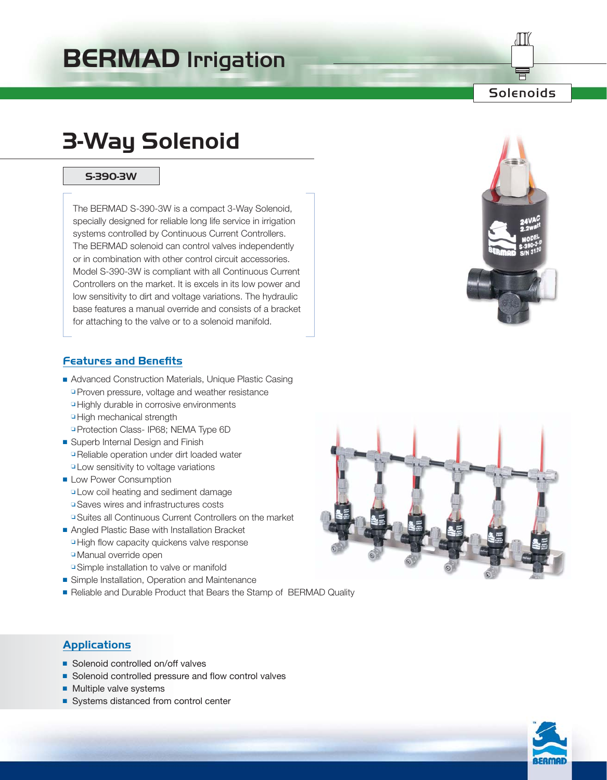# **BERMAD** Irrigation

## Solenoids

# **3-Way Solenoid**

### **S-390-3W**

The BERMAD S-390-3W is a compact 3-Way Solenoid, specially designed for reliable long life service in irrigation systems controlled by Continuous Current Controllers. The BERMAD solenoid can control valves independently or in combination with other control circuit accessories. Model S-390-3W is compliant with all Continuous Current Controllers on the market. It is excels in its low power and low sensitivity to dirt and voltage variations. The hydraulic base features a manual override and consists of a bracket for attaching to the valve or to a solenoid manifold.



### **Features and Benefits**

- Advanced Construction Materials, Unique Plastic Casing ❏ Proven pressure, voltage and weather resistance ❏ Highly durable in corrosive environments ❏ High mechanical strength
	- ❏ Protection Class- IP68; NEMA Type 6D
- Superb Internal Design and Finish ❏ Reliable operation under dirt loaded water ❏ Low sensitivity to voltage variations
- Low Power Consumption ❏ Low coil heating and sediment damage ❏ Saves wires and infrastructures costs ❏ Suites all Continuous Current Controllers on the market
- Angled Plastic Base with Installation Bracket ❏ High flow capacity quickens valve response ❏ Manual override open
- ❏ Simple installation to valve or manifold
- Simple Installation, Operation and Maintenance
- Reliable and Durable Product that Bears the Stamp of BERMAD Quality



- Solenoid controlled on/off valves
- Solenoid controlled pressure and flow control valves
- Multiple valve systems
- Systems distanced from control center